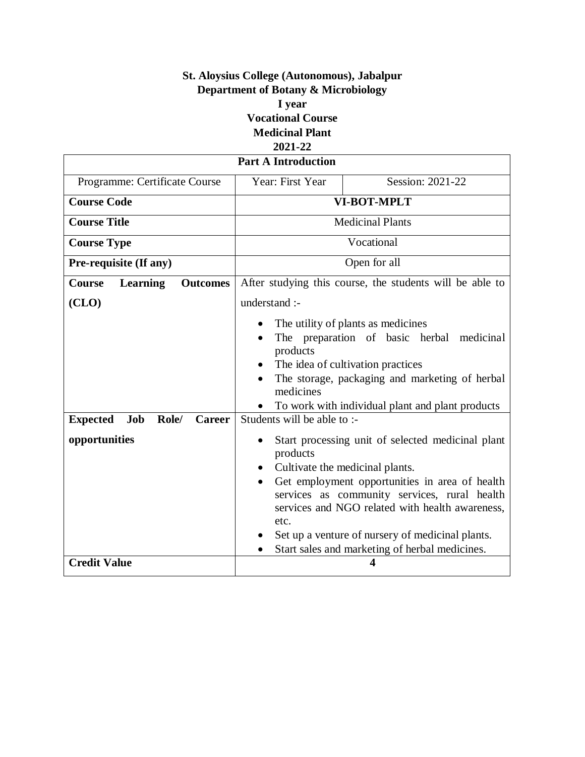## **St. Aloysius College (Autonomous), Jabalpur Department of Botany & Microbiology I year Vocational Course Medicinal Plant 2021-22**

| <b>Part A Introduction</b>                               |                                                                                                                                                                                                                                                                                                                    |  |  |  |
|----------------------------------------------------------|--------------------------------------------------------------------------------------------------------------------------------------------------------------------------------------------------------------------------------------------------------------------------------------------------------------------|--|--|--|
| Year: First Year                                         | Session: 2021-22                                                                                                                                                                                                                                                                                                   |  |  |  |
| <b>VI-BOT-MPLT</b>                                       |                                                                                                                                                                                                                                                                                                                    |  |  |  |
| <b>Medicinal Plants</b>                                  |                                                                                                                                                                                                                                                                                                                    |  |  |  |
| Vocational                                               |                                                                                                                                                                                                                                                                                                                    |  |  |  |
| Open for all                                             |                                                                                                                                                                                                                                                                                                                    |  |  |  |
| After studying this course, the students will be able to |                                                                                                                                                                                                                                                                                                                    |  |  |  |
| understand :-                                            |                                                                                                                                                                                                                                                                                                                    |  |  |  |
| products<br>medicines<br>products                        | The utility of plants as medicines<br>The preparation of basic herbal medicinal<br>The idea of cultivation practices<br>The storage, packaging and marketing of herbal<br>To work with individual plant and plant products<br>Start processing unit of selected medicinal plant<br>Cultivate the medicinal plants. |  |  |  |
| $\bullet$<br>etc.<br>$\bullet$                           | Get employment opportunities in area of health<br>services as community services, rural health<br>services and NGO related with health awareness,<br>Set up a venture of nursery of medicinal plants.<br>Start sales and marketing of herbal medicines.<br>4                                                       |  |  |  |
|                                                          | Students will be able to :-                                                                                                                                                                                                                                                                                        |  |  |  |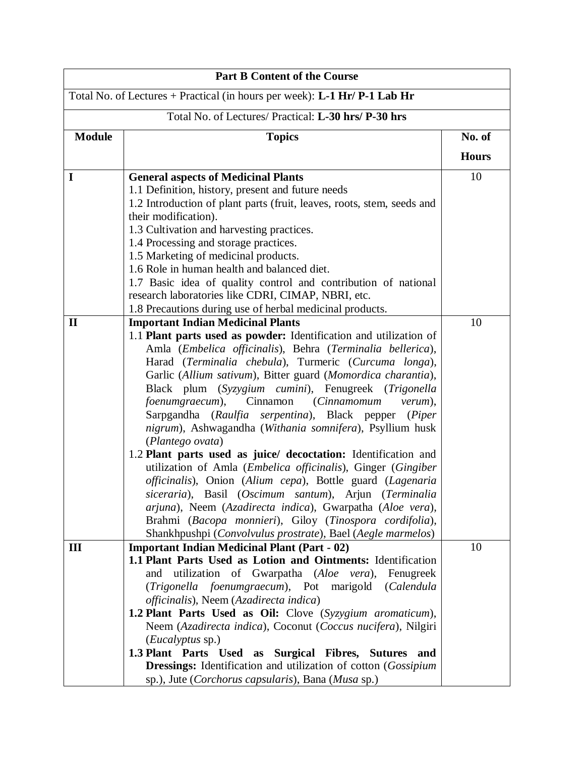| <b>Part B Content of the Course</b>                  |                                                                                                           |              |  |
|------------------------------------------------------|-----------------------------------------------------------------------------------------------------------|--------------|--|
|                                                      | Total No. of Lectures + Practical (in hours per week): L-1 Hr/ P-1 Lab Hr                                 |              |  |
| Total No. of Lectures/ Practical: L-30 hrs/ P-30 hrs |                                                                                                           |              |  |
| <b>Module</b>                                        | <b>Topics</b>                                                                                             | No. of       |  |
|                                                      |                                                                                                           | <b>Hours</b> |  |
| I                                                    | <b>General aspects of Medicinal Plants</b>                                                                | 10           |  |
|                                                      | 1.1 Definition, history, present and future needs                                                         |              |  |
|                                                      | 1.2 Introduction of plant parts (fruit, leaves, roots, stem, seeds and                                    |              |  |
|                                                      | their modification).                                                                                      |              |  |
|                                                      | 1.3 Cultivation and harvesting practices.                                                                 |              |  |
|                                                      | 1.4 Processing and storage practices.                                                                     |              |  |
|                                                      | 1.5 Marketing of medicinal products.                                                                      |              |  |
|                                                      | 1.6 Role in human health and balanced diet.                                                               |              |  |
|                                                      | 1.7 Basic idea of quality control and contribution of national                                            |              |  |
|                                                      | research laboratories like CDRI, CIMAP, NBRI, etc.                                                        |              |  |
|                                                      | 1.8 Precautions during use of herbal medicinal products.                                                  |              |  |
| $\mathbf{I}$                                         | <b>Important Indian Medicinal Plants</b>                                                                  | 10           |  |
|                                                      | 1.1 Plant parts used as powder: Identification and utilization of                                         |              |  |
|                                                      | Amla (Embelica officinalis), Behra (Terminalia bellerica),                                                |              |  |
|                                                      | Harad (Terminalia chebula), Turmeric (Curcuma longa),                                                     |              |  |
|                                                      | Garlic (Allium sativum), Bitter guard (Momordica charantia),                                              |              |  |
|                                                      | Black plum (Syzygium cumini), Fenugreek (Trigonella<br>foenumgraecum), Cinnamon<br>(Cinnamomum<br>verum), |              |  |
|                                                      | Sarpgandha (Raulfia serpentina), Black pepper (Piper                                                      |              |  |
|                                                      | nigrum), Ashwagandha (Withania somnifera), Psyllium husk                                                  |              |  |
|                                                      | (Plantego ovata)                                                                                          |              |  |
|                                                      | 1.2 Plant parts used as juice/ decoctation: Identification and                                            |              |  |
|                                                      | utilization of Amla (Embelica officinalis), Ginger (Gingiber                                              |              |  |
|                                                      | officinalis), Onion (Alium cepa), Bottle guard (Lagenaria                                                 |              |  |
|                                                      | siceraria), Basil (Oscimum santum), Arjun (Terminalia                                                     |              |  |
|                                                      | arjuna), Neem (Azadirecta indica), Gwarpatha (Aloe vera),                                                 |              |  |
|                                                      | Brahmi (Bacopa monnieri), Giloy (Tinospora cordifolia),                                                   |              |  |
|                                                      | Shankhpushpi (Convolvulus prostrate), Bael (Aegle marmelos)                                               |              |  |
| III                                                  | <b>Important Indian Medicinal Plant (Part - 02)</b>                                                       | 10           |  |
|                                                      | 1.1 Plant Parts Used as Lotion and Ointments: Identification                                              |              |  |
|                                                      | utilization of Gwarpatha (Aloe vera),<br>Fenugreek<br>and                                                 |              |  |
|                                                      | (Trigonella foenumgraecum), Pot marigold<br>(Calendula                                                    |              |  |
|                                                      | officinalis), Neem (Azadirecta indica)                                                                    |              |  |
|                                                      | <b>1.2 Plant Parts Used as Oil:</b> Clove (Syzygium aromaticum),                                          |              |  |
|                                                      | Neem (Azadirecta indica), Coconut (Coccus nucifera), Nilgiri                                              |              |  |
|                                                      | ( <i>Eucalyptus</i> sp.)                                                                                  |              |  |
|                                                      | 1.3 Plant Parts Used as Surgical Fibres, Sutures and                                                      |              |  |
|                                                      | <b>Dressings:</b> Identification and utilization of cotton (Gossipium                                     |              |  |
|                                                      | sp.), Jute (Corchorus capsularis), Bana (Musa sp.)                                                        |              |  |